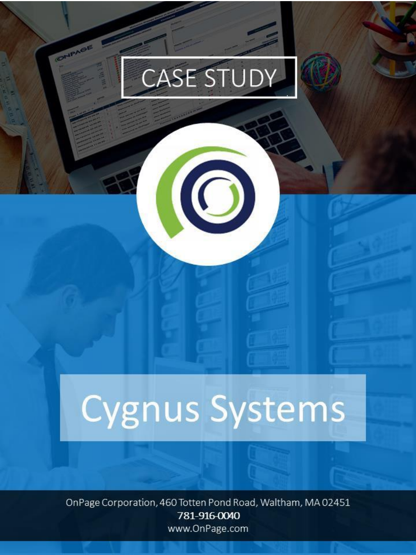# CASE STUDY

 $\odot$ 

CHPAGE

# Cygnus Systems

OnPage Corporation, 460 Totten Pond Road, Waltham, MA 02451 781-916-0040 www.OnPage.com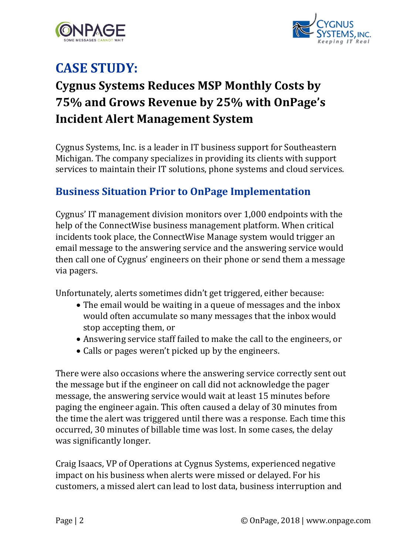



### **CASE STUDY:**

## **Cygnus Systems Reduces MSP Monthly Costs by 75% and Grows Revenue by 25% with OnPage's Incident Alert Management System**

Cygnus Systems, Inc. is a leader in IT business support for Southeastern Michigan. The company specializes in providing its clients with support services to maintain their IT solutions, phone systems and cloud services.

#### **Business Situation Prior to OnPage Implementation**

Cygnus' IT management division monitors over 1,000 endpoints with the help of the ConnectWise business management platform. When critical incidents took place, the ConnectWise Manage system would trigger an email message to the answering service and the answering service would then call one of Cygnus' engineers on their phone or send them a message via pagers.

Unfortunately, alerts sometimes didn't get triggered, either because:

- The email would be waiting in a queue of messages and the inbox would often accumulate so many messages that the inbox would stop accepting them, or
- Answering service staff failed to make the call to the engineers, or
- Calls or pages weren't picked up by the engineers.

There were also occasions where the answering service correctly sent out the message but if the engineer on call did not acknowledge the pager message, the answering service would wait at least 15 minutes before paging the engineer again. This often caused a delay of 30 minutes from the time the alert was triggered until there was a response. Each time this occurred, 30 minutes of billable time was lost. In some cases, the delay was significantly longer.

Craig Isaacs, VP of Operations at Cygnus Systems, experienced negative impact on his business when alerts were missed or delayed. For his customers, a missed alert can lead to lost data, business interruption and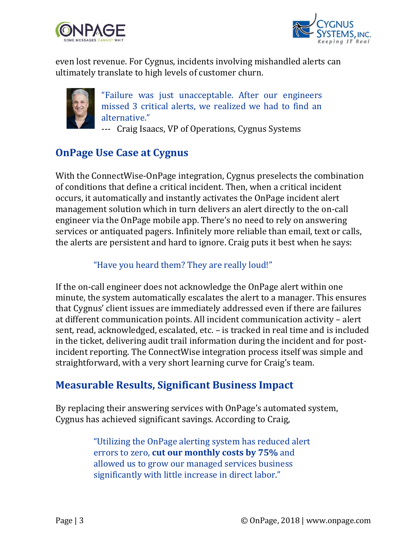



even lost revenue. For Cygnus, incidents involving mishandled alerts can ultimately translate to high levels of customer churn.



"Failure was just unacceptable. After our engineers missed 3 critical alerts, we realized we had to find an alternative."

--- Craig Isaacs, VP of Operations, Cygnus Systems

#### **OnPage Use Case at Cygnus**

With the ConnectWise-OnPage integration, Cygnus preselects the combination of conditions that define a critical incident. Then, when a critical incident occurs, it automatically and instantly activates the OnPage incident alert management solution which in turn delivers an alert directly to the on-call engineer via the OnPage mobile app. There's no need to rely on answering services or antiquated pagers. Infinitely more reliable than email, text or calls, the alerts are persistent and hard to ignore. Craig puts it best when he says:

#### "Have you heard them? They are really loud!"

If the on-call engineer does not acknowledge the OnPage alert within one minute, the system automatically escalates the alert to a manager. This ensures that Cygnus' client issues are immediately addressed even if there are failures at different communication points. All incident communication activity – alert sent, read, acknowledged, escalated, etc. – is tracked in real time and is included in the ticket, delivering audit trail information during the incident and for postincident reporting. The ConnectWise integration process itself was simple and straightforward, with a very short learning curve for Craig's team.

#### **Measurable Results, Significant Business Impact**

By replacing their answering services with OnPage's automated system, Cygnus has achieved significant savings. According to Craig,

> "Utilizing the OnPage alerting system has reduced alert errors to zero, **cut our monthly costs by 75%** and allowed us to grow our managed services business significantly with little increase in direct labor."